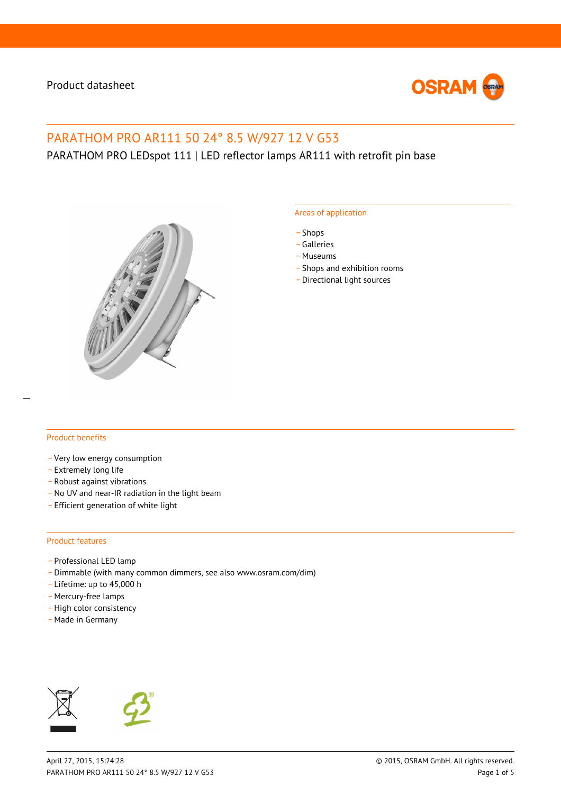

# PARATHOM PRO AR111 50 24° 8.5 W/927 12 V G53

## PARATHOM PRO LEDspot 111 | LED reflector lamps AR111 with retrofit pin base



#### Areas of application

- \_ Shops
- \_ Galleries
- \_ Museums
- Shops and exhibition rooms
- \_ Directional light sources

#### Product benefits

- \_ Very low energy consumption
- \_ Extremely long life
- \_ Robust against vibrations
- No UV and near-IR radiation in the light beam
- \_ Efficient generation of white light

#### Product features

- Professional LED lamp
- \_ Dimmable (with many common dimmers, see also www.osram.com/dim)
- \_ Lifetime: up to 45,000 h
- Mercury-free lamps
- High color consistency
- \_ Made in Germany



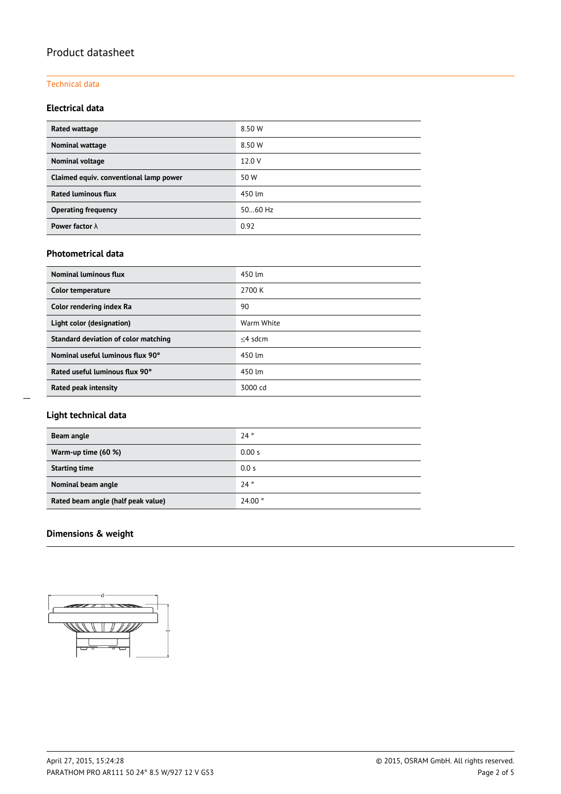### Technical data

### **Electrical data**

| Rated wattage                          | 8.50 W    |
|----------------------------------------|-----------|
| Nominal wattage                        | 8.50 W    |
| Nominal voltage                        | 12.0 V    |
| Claimed equiv. conventional lamp power | 50 W      |
| <b>Rated luminous flux</b>             | 450 lm    |
| <b>Operating frequency</b>             | $5060$ Hz |
| Power factor $\lambda$                 | 0.92      |

### **Photometrical data**

| <b>Nominal luminous flux</b>         | 450 lm     |  |
|--------------------------------------|------------|--|
| Color temperature                    | 2700 K     |  |
| Color rendering index Ra             | 90         |  |
| Light color (designation)            | Warm White |  |
| Standard deviation of color matching | $<$ 4 sdcm |  |
| Nominal useful luminous flux 90°     | 450 lm     |  |
| Rated useful luminous flux 90°       | 450 lm     |  |
| Rated peak intensity                 | 3000 cd    |  |

### **Light technical data**

| Beam angle                         | 24°    |
|------------------------------------|--------|
| Warm-up time (60 %)                | 0.00 s |
| <b>Starting time</b>               | 0.0 s  |
| Nominal beam angle                 | 24°    |
| Rated beam angle (half peak value) | 24.00° |

### **Dimensions & weight**

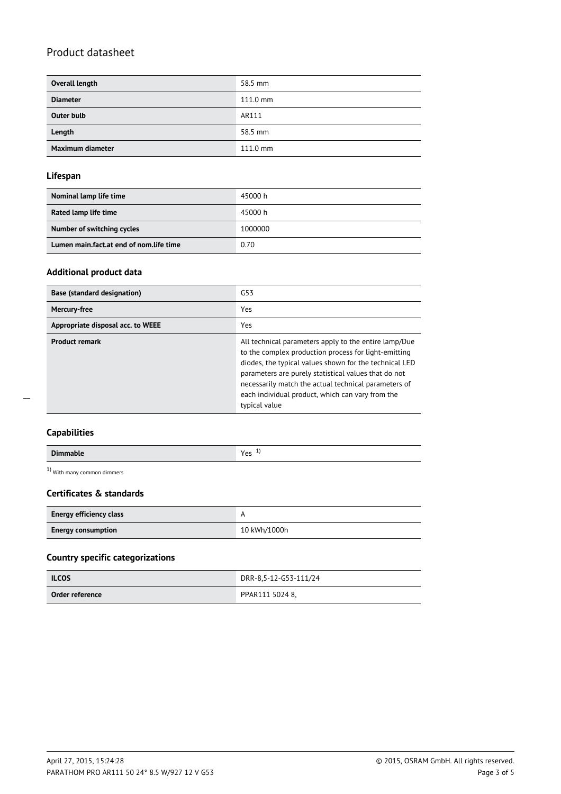| Overall length    | 58.5 mm            |
|-------------------|--------------------|
| <b>Diameter</b>   | $111.0 \text{ mm}$ |
| <b>Outer bulb</b> | AR111              |
| Length            | 58.5 mm            |
| Maximum diameter  | $111.0 \text{ mm}$ |

### **Lifespan**

| Nominal lamp life time                  | 45000 h |
|-----------------------------------------|---------|
|                                         |         |
| Rated lamp life time                    | 45000 h |
| Number of switching cycles              | 1000000 |
| Lumen main.fact.at end of nom.life time | 0.70    |

### **Additional product data**

| <b>Base (standard designation)</b> | G53                                                                                                                                                                                                                                                                                                                                                          |
|------------------------------------|--------------------------------------------------------------------------------------------------------------------------------------------------------------------------------------------------------------------------------------------------------------------------------------------------------------------------------------------------------------|
| Mercury-free                       | Yes                                                                                                                                                                                                                                                                                                                                                          |
| Appropriate disposal acc. to WEEE  | Yes                                                                                                                                                                                                                                                                                                                                                          |
| <b>Product remark</b>              | All technical parameters apply to the entire lamp/Due<br>to the complex production process for light-emitting<br>diodes, the typical values shown for the technical LED<br>parameters are purely statistical values that do not<br>necessarily match the actual technical parameters of<br>each individual product, which can vary from the<br>typical value |

 $\overline{a}$ 

1) With many common dimmers

### **Certificates & standards**

| <b>Energy efficiency class</b> |              |  |
|--------------------------------|--------------|--|
| <b>Energy consumption</b>      | 10 kWh/1000h |  |

### **Country specific categorizations**

| <b>ILCOS</b>    | DRR-8,5-12-G53-111/24 |
|-----------------|-----------------------|
| Order reference | PPAR111 5024 8.       |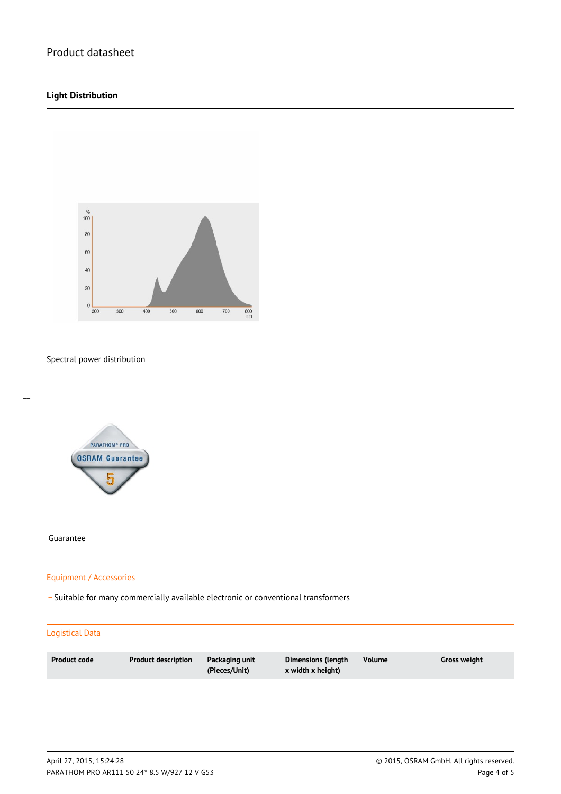### **Light Distribution**



Spectral power distribution



Guarantee

 $\overline{a}$ 

Equipment / Accessories

\_ Suitable for many commercially available electronic or conventional transformers

### Logistical Data

| <b>Product code</b><br><b>Product description</b><br>Packaging unit<br>(Pieces/Unit) | Volume<br>Dimensions (length<br>x width x height) | Gross weight |
|--------------------------------------------------------------------------------------|---------------------------------------------------|--------------|
|--------------------------------------------------------------------------------------|---------------------------------------------------|--------------|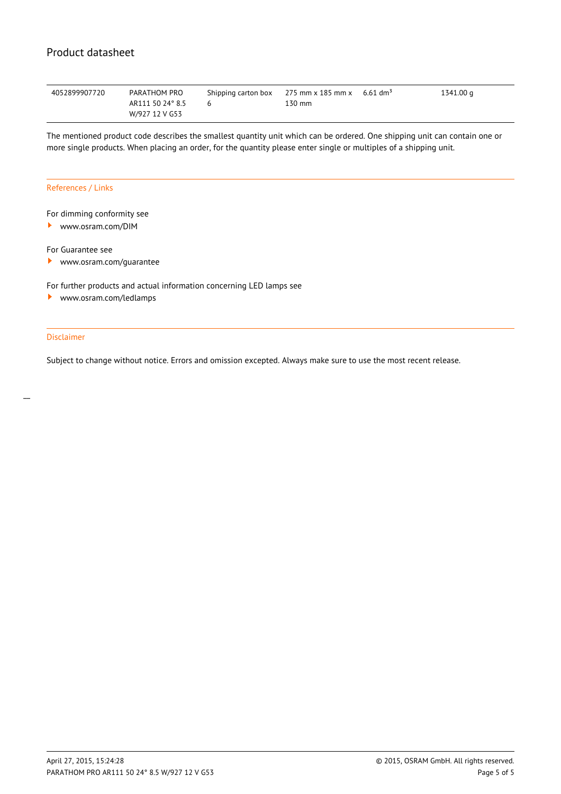| 4052899907720 | PARATHOM PRO     | Shipping carton box 275 mm x 185 mm x 6.61 dm <sup>3</sup> |        | 1341.00 g |
|---------------|------------------|------------------------------------------------------------|--------|-----------|
|               | AR111 50 24° 8.5 |                                                            | 130 mm |           |
|               | W/927 12 V G53   |                                                            |        |           |

The mentioned product code describes the smallest quantity unit which can be ordered. One shipping unit can contain one or more single products. When placing an order, for the quantity please enter single or multiples of a shipping unit.

#### References / Links

### For dimming conformity see

<www.osram.com/DIM>

For Guarantee see

 $\blacktriangleright$ <www.osram.com/guarantee>

For further products and actual information concerning LED lamps see

<www.osram.com/ledlamps> ▸

### Disclaimer

Subject to change without notice. Errors and omission excepted. Always make sure to use the most recent release.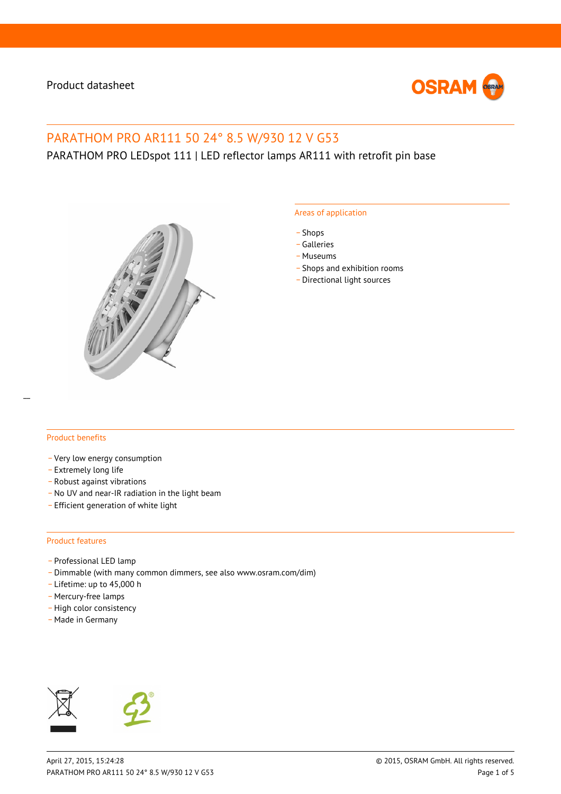

# PARATHOM PRO AR111 50 24° 8.5 W/930 12 V G53

PARATHOM PRO LEDspot 111 | LED reflector lamps AR111 with retrofit pin base



#### Areas of application

- \_ Shops
- \_ Galleries
- \_ Museums
- Shops and exhibition rooms
- \_ Directional light sources

### Product benefits

- \_ Very low energy consumption
- \_ Extremely long life
- \_ Robust against vibrations
- No UV and near-IR radiation in the light beam
- \_ Efficient generation of white light

#### Product features

- Professional LED lamp
- \_ Dimmable (with many common dimmers, see also www.osram.com/dim)
- \_ Lifetime: up to 45,000 h
- Mercury-free lamps
- High color consistency
- \_ Made in Germany



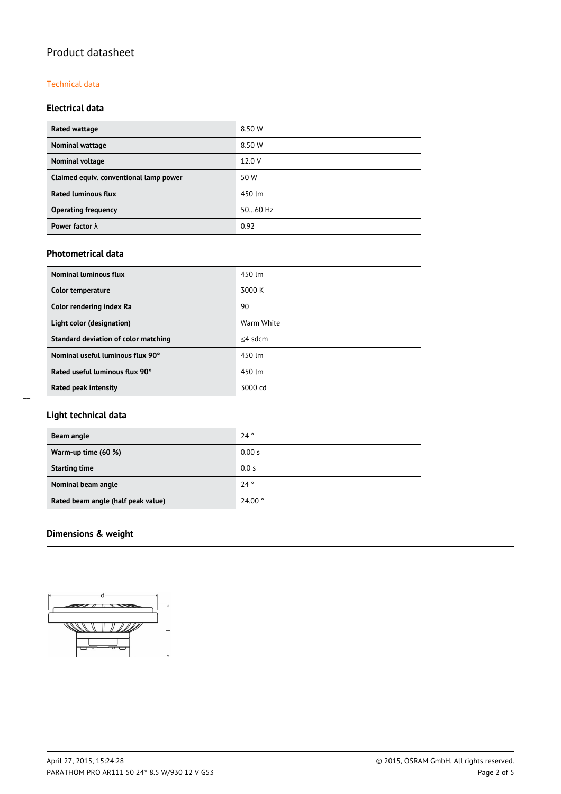### Technical data

### **Electrical data**

| Rated wattage                          | 8.50 W    |
|----------------------------------------|-----------|
| Nominal wattage                        | 8.50 W    |
| Nominal voltage                        | 12.0 V    |
| Claimed equiv. conventional lamp power | 50 W      |
| <b>Rated luminous flux</b>             | 450 lm    |
| <b>Operating frequency</b>             | $5060$ Hz |
| Power factor $\lambda$                 | 0.92      |

### **Photometrical data**

| Nominal luminous flux                | 450 lm     |
|--------------------------------------|------------|
| Color temperature                    | 3000 K     |
| Color rendering index Ra             | 90         |
| Light color (designation)            | Warm White |
| Standard deviation of color matching | $<$ 4 sdcm |
| Nominal useful luminous flux 90°     | 450 lm     |
| Rated useful luminous flux 90°       | 450 lm     |
| Rated peak intensity                 | 3000 cd    |

### **Light technical data**

| Beam angle                         | 24°    |
|------------------------------------|--------|
| Warm-up time (60 %)                | 0.00 s |
| <b>Starting time</b>               | 0.0 s  |
| Nominal beam angle                 | 24°    |
| Rated beam angle (half peak value) | 24.00° |

### **Dimensions & weight**

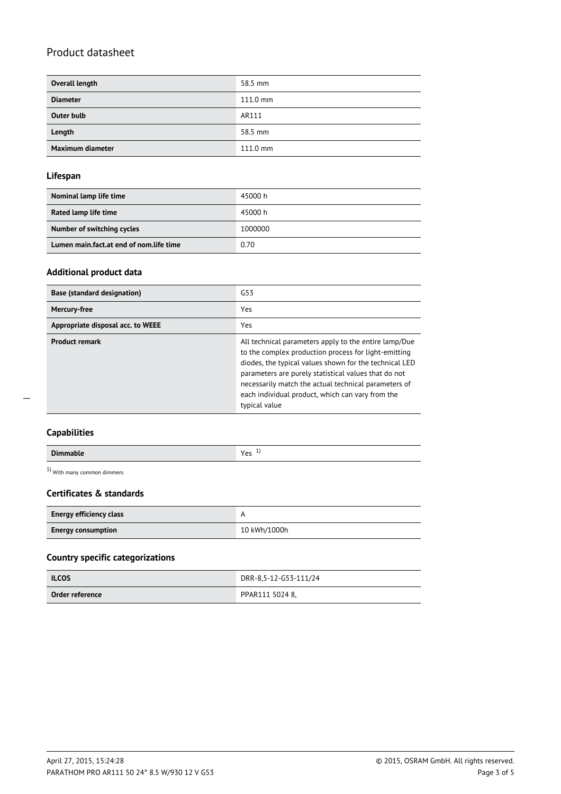| Overall length    | 58.5 mm            |
|-------------------|--------------------|
| <b>Diameter</b>   | $111.0 \text{ mm}$ |
| <b>Outer bulb</b> | AR111              |
| Length            | 58.5 mm            |
| Maximum diameter  | $111.0 \text{ mm}$ |

### **Lifespan**

| Nominal lamp life time                  | 45000 h |
|-----------------------------------------|---------|
|                                         |         |
| Rated lamp life time                    | 45000 h |
| Number of switching cycles              | 1000000 |
| Lumen main.fact.at end of nom.life time | 0.70    |

### **Additional product data**

| <b>Base (standard designation)</b> | G53                                                                                                                                                                                                                                                                                                                                                          |
|------------------------------------|--------------------------------------------------------------------------------------------------------------------------------------------------------------------------------------------------------------------------------------------------------------------------------------------------------------------------------------------------------------|
| Mercury-free                       | Yes                                                                                                                                                                                                                                                                                                                                                          |
| Appropriate disposal acc. to WEEE  | Yes                                                                                                                                                                                                                                                                                                                                                          |
| <b>Product remark</b>              | All technical parameters apply to the entire lamp/Due<br>to the complex production process for light-emitting<br>diodes, the typical values shown for the technical LED<br>parameters are purely statistical values that do not<br>necessarily match the actual technical parameters of<br>each individual product, which can vary from the<br>typical value |

 $\overline{a}$ 

| <b>Dimmable</b> | $V_{\alpha r}$<br><b>.</b><br>ີ |
|-----------------|---------------------------------|

1) With many common dimmers

### **Certificates & standards**

| <b>Energy efficiency class</b> |              |
|--------------------------------|--------------|
| <b>Energy consumption</b>      | 10 kWh/1000h |

### **Country specific categorizations**

| <b>ILCOS</b>    | DRR-8,5-12-G53-111/24 |
|-----------------|-----------------------|
| Order reference | PPAR111 5024 8,       |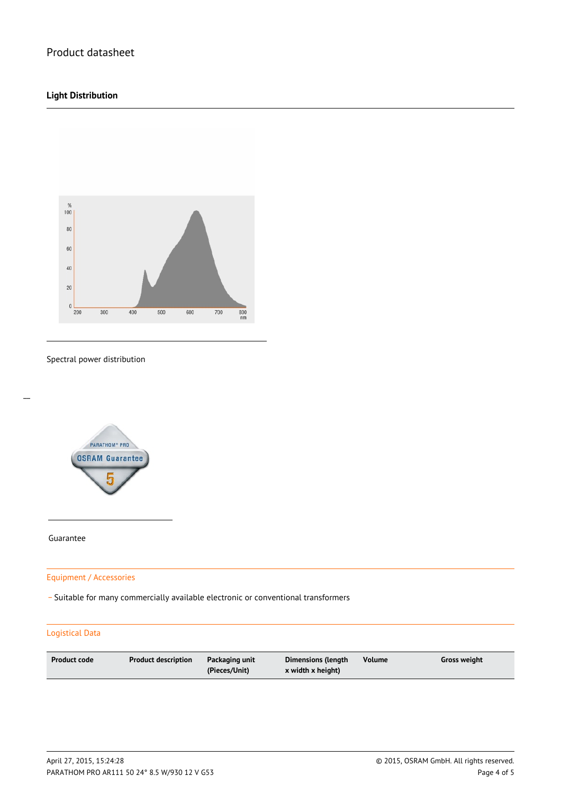### **Light Distribution**



#### Spectral power distribution



Guarantee

 $\overline{a}$ 

### Equipment / Accessories

\_ Suitable for many commercially available electronic or conventional transformers

### Logistical Data

| <b>Product code</b><br>Product description | Packaging unit<br>(Pieces/Unit) | Dimensions (length<br>x width x height) | <b>Volume</b> | Gross weight |
|--------------------------------------------|---------------------------------|-----------------------------------------|---------------|--------------|
|--------------------------------------------|---------------------------------|-----------------------------------------|---------------|--------------|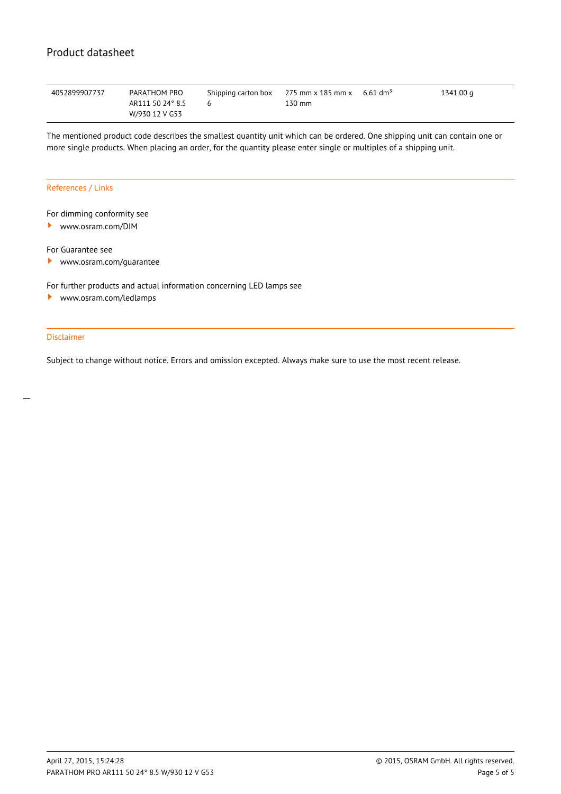| 4052899907737 | PARATHOM PRO     | Shipping carton box 275 mm x 185 mm x 6.61 dm <sup>3</sup> |        | 1341.00 g |
|---------------|------------------|------------------------------------------------------------|--------|-----------|
|               | AR111 50 24° 8.5 |                                                            | 130 mm |           |
|               | W/930 12 V G53   |                                                            |        |           |

The mentioned product code describes the smallest quantity unit which can be ordered. One shipping unit can contain one or more single products. When placing an order, for the quantity please enter single or multiples of a shipping unit.

#### References / Links

### For dimming conformity see

<www.osram.com/DIM>

For Guarantee see

 $\blacktriangleright$ <www.osram.com/guarantee>

For further products and actual information concerning LED lamps see

<www.osram.com/ledlamps> ▸

### Disclaimer

Subject to change without notice. Errors and omission excepted. Always make sure to use the most recent release.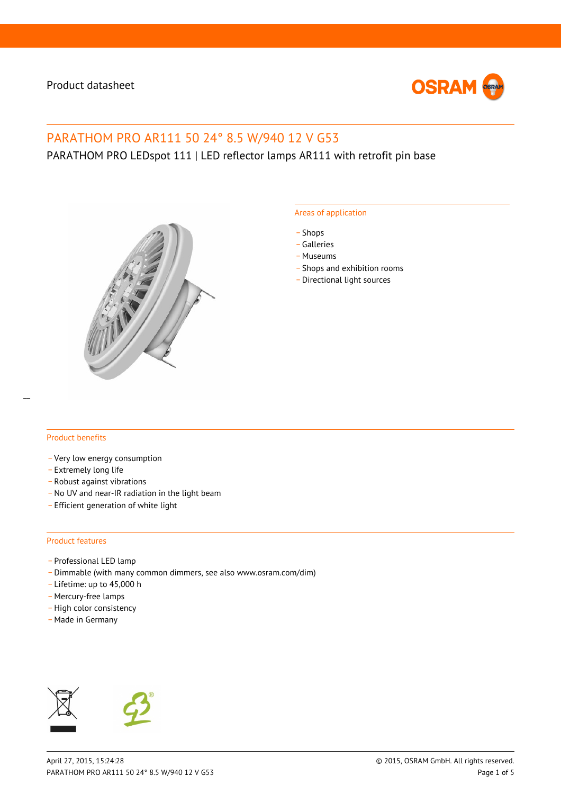

# PARATHOM PRO AR111 50 24° 8.5 W/940 12 V G53

PARATHOM PRO LEDspot 111 | LED reflector lamps AR111 with retrofit pin base



#### Areas of application

- \_ Shops
- \_ Galleries
- \_ Museums
- Shops and exhibition rooms
- \_ Directional light sources

### Product benefits

- \_ Very low energy consumption
- \_ Extremely long life
- \_ Robust against vibrations
- No UV and near-IR radiation in the light beam
- \_ Efficient generation of white light

#### Product features

- Professional LED lamp
- \_ Dimmable (with many common dimmers, see also www.osram.com/dim)
- \_ Lifetime: up to 45,000 h
- Mercury-free lamps
- High color consistency
- \_ Made in Germany



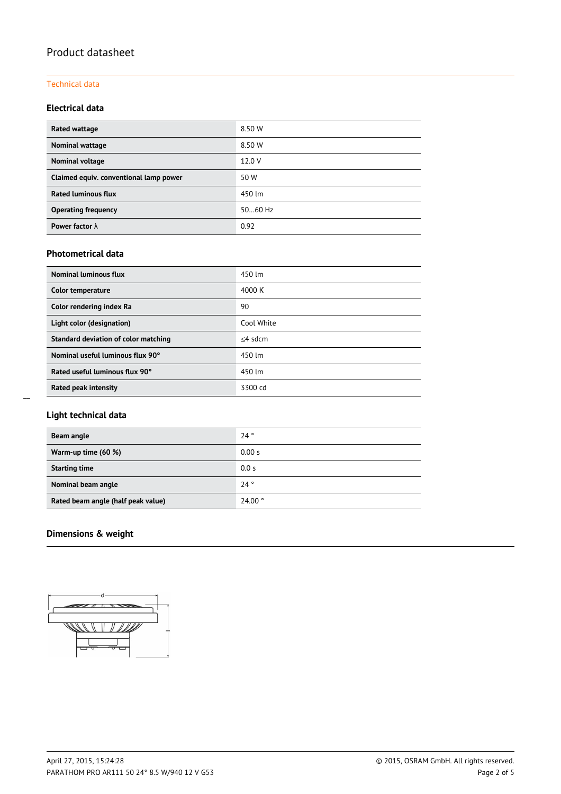### Technical data

### **Electrical data**

| <b>Rated wattage</b>                   | 8.50 W  |
|----------------------------------------|---------|
| <b>Nominal wattage</b>                 | 8.50 W  |
| Nominal voltage                        | 12.0 V  |
| Claimed equiv. conventional lamp power | 50 W    |
| <b>Rated luminous flux</b>             | 450 lm  |
| <b>Operating frequency</b>             | 5060 Hz |
| Power factor $\lambda$                 | 0.92    |

### **Photometrical data**

| <b>Nominal luminous flux</b>         | 450 lm     |
|--------------------------------------|------------|
| Color temperature                    | 4000 K     |
| Color rendering index Ra             | 90         |
| Light color (designation)            | Cool White |
| Standard deviation of color matching | $<$ 4 sdcm |
| Nominal useful luminous flux 90°     | 450 lm     |
| Rated useful luminous flux 90°       | 450 lm     |
| Rated peak intensity                 | 3300 cd    |

### **Light technical data**

| Beam angle                         | 24°    |
|------------------------------------|--------|
| Warm-up time (60 %)                | 0.00 s |
| <b>Starting time</b>               | 0.0 s  |
| Nominal beam angle                 | 24°    |
| Rated beam angle (half peak value) | 24.00° |

### **Dimensions & weight**

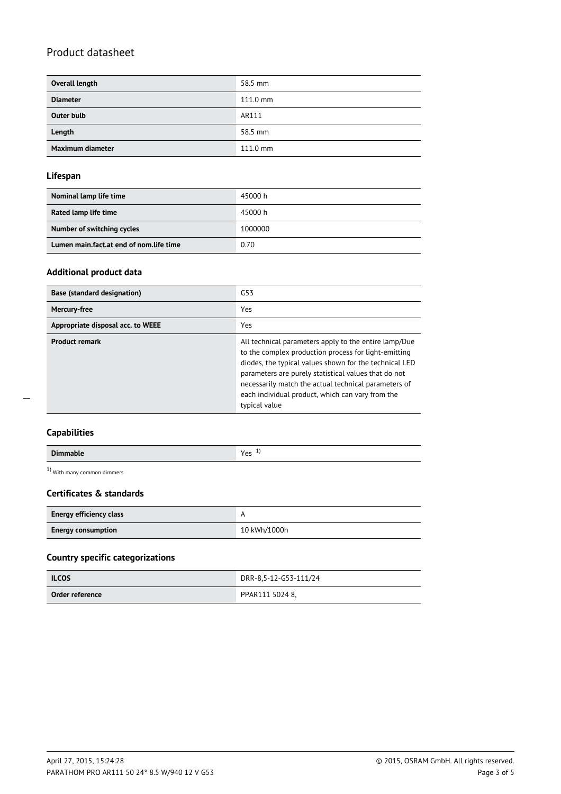| Overall length    | 58.5 mm            |
|-------------------|--------------------|
| <b>Diameter</b>   | $111.0 \text{ mm}$ |
| <b>Outer bulb</b> | AR111              |
| Length            | 58.5 mm            |
| Maximum diameter  | $111.0 \text{ mm}$ |

### **Lifespan**

| Nominal lamp life time                  | 45000 h |
|-----------------------------------------|---------|
| Rated lamp life time                    | 45000 h |
| Number of switching cycles              | 1000000 |
| Lumen main.fact.at end of nom.life time | 0.70    |

### **Additional product data**

| <b>Base (standard designation)</b> | G53                                                                                                                                                                                                                                                                                                                                                          |
|------------------------------------|--------------------------------------------------------------------------------------------------------------------------------------------------------------------------------------------------------------------------------------------------------------------------------------------------------------------------------------------------------------|
| Mercury-free                       | Yes                                                                                                                                                                                                                                                                                                                                                          |
| Appropriate disposal acc. to WEEE  | Yes                                                                                                                                                                                                                                                                                                                                                          |
| <b>Product remark</b>              | All technical parameters apply to the entire lamp/Due<br>to the complex production process for light-emitting<br>diodes, the typical values shown for the technical LED<br>parameters are purely statistical values that do not<br>necessarily match the actual technical parameters of<br>each individual product, which can vary from the<br>typical value |

 $\overline{a}$ 

| <b>Dimmable</b> | $V_{\alpha r}$<br><b>.</b><br>ີ |
|-----------------|---------------------------------|

1) With many common dimmers

### **Certificates & standards**

| <b>Energy efficiency class</b> |              |  |
|--------------------------------|--------------|--|
| <b>Energy consumption</b>      | 10 kWh/1000h |  |

### **Country specific categorizations**

| <b>ILCOS</b>    | DRR-8,5-12-G53-111/24 |  |
|-----------------|-----------------------|--|
| Order reference | PPAR111 5024 8,       |  |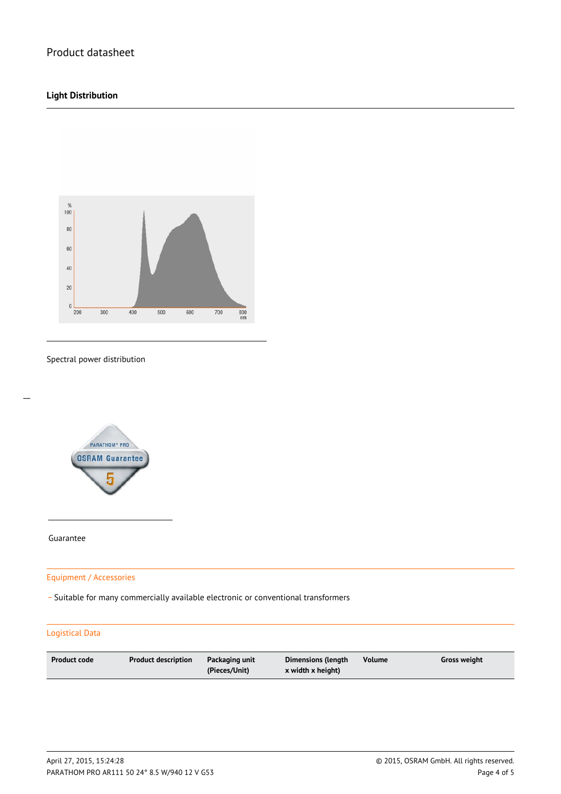### **Light Distribution**



#### Spectral power distribution



Guarantee

 $\overline{a}$ 

### Equipment / Accessories

\_ Suitable for many commercially available electronic or conventional transformers

### Logistical Data

| <b>Product code</b><br>Volume<br><b>Product description</b><br>Dimensions (length<br>Packaging unit<br>Gross weight<br>(Pieces/Unit)<br>x width x height) |  |
|-----------------------------------------------------------------------------------------------------------------------------------------------------------|--|
|-----------------------------------------------------------------------------------------------------------------------------------------------------------|--|